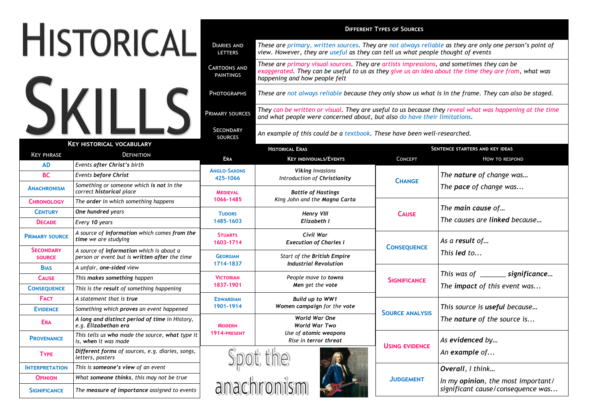|                                   |                                                                                           | <b>DIFFERENT TYPES OF SOURCES</b>       |                                                                                                                                                                                                                                                                                                |                        |                                                                      |  |  |
|-----------------------------------|-------------------------------------------------------------------------------------------|-----------------------------------------|------------------------------------------------------------------------------------------------------------------------------------------------------------------------------------------------------------------------------------------------------------------------------------------------|------------------------|----------------------------------------------------------------------|--|--|
|                                   | <b>HISTORICAL</b>                                                                         | <b>DIARIES AND</b><br><b>LETTERS</b>    | These are primary, written sources. They are not always reliable as they are only one person's point of<br>view. However, they are useful as they can tell us what people thought of events                                                                                                    |                        |                                                                      |  |  |
|                                   |                                                                                           | <b>CARTOONS AND</b><br><b>PAINTINGS</b> | These are primary visual sources. They are artists impressions, and sometimes they can be<br>exaggerated. They can be useful to us as they give us an idea about the time they are from, what was<br>happening and how people felt                                                             |                        |                                                                      |  |  |
| SKII                              |                                                                                           | <b>PHOTOGRAPHS</b>                      | These are not always reliable because they only show us what is in the frame. They can also be staged.<br>They can be written or visual. They are useful to us because they reveal what was happening at the time<br>and what people were concerned about, but also do have their limitations. |                        |                                                                      |  |  |
|                                   |                                                                                           | <b>PRIMARY SOURCES</b>                  |                                                                                                                                                                                                                                                                                                |                        |                                                                      |  |  |
|                                   |                                                                                           | SECONDARY<br><b>SOURCES</b>             | An example of this could be a textbook. These have been well-researched.                                                                                                                                                                                                                       |                        |                                                                      |  |  |
|                                   | <b>KEY HISTORICAL VOCABULARY</b>                                                          |                                         | <b>HISTORICAL ERAS</b>                                                                                                                                                                                                                                                                         |                        | SENTENCE STARTERS AND KEY IDEAS                                      |  |  |
| <b>KEY PHRASE</b>                 | DEFINITION                                                                                | <b>ERA</b>                              | <b>KEY INDIVIDUALS/EVENTS</b>                                                                                                                                                                                                                                                                  | <b>CONCEPT</b>         | HOW TO RESPOND                                                       |  |  |
| <b>AD</b>                         | Events after Christ's birth                                                               | <b>ANGLO-SAXONS</b>                     | <b>Viking Invasions</b>                                                                                                                                                                                                                                                                        | <b>CHANGE</b>          | The nature of change was<br>The pace of change was                   |  |  |
| <b>BC</b>                         | <b>Events before Christ</b>                                                               | 425-1066                                | Introduction of Christianity                                                                                                                                                                                                                                                                   |                        |                                                                      |  |  |
| <b>ANACHRONISM</b>                | Something or someone which is not in the<br>correct historical place                      | <b>MEDIEVAL</b>                         | <b>Battle of Hastings</b>                                                                                                                                                                                                                                                                      |                        |                                                                      |  |  |
| <b>CHRONOLOGY</b>                 | The order in which something happens                                                      | 1066-1485                               | King John and the Magna Carta                                                                                                                                                                                                                                                                  | <b>CAUSE</b>           | The main cause of<br>The causes are linked because                   |  |  |
| <b>CENTURY</b>                    | One hundred years                                                                         | <b>TUDORS</b>                           | <b>Henry VIII</b>                                                                                                                                                                                                                                                                              |                        |                                                                      |  |  |
| <b>DECADE</b>                     | Every 10 years                                                                            | 1485-1603                               | Elizabeth I                                                                                                                                                                                                                                                                                    |                        |                                                                      |  |  |
| <b>PRIMARY SOURCE</b>             | A source of information which comes from the<br>time we are studying                      | <b>STUARTS</b><br>1603-1714             | Civil War<br><b>Execution of Charles I</b>                                                                                                                                                                                                                                                     | <b>CONSEQUENCE</b>     | As a result of<br>This led to<br>This was of __________ significance |  |  |
| <b>SECONDARY</b><br><b>SOURCE</b> | A source of information which is about a<br>person or event but is written after the time | <b>GEORGIAN</b>                         | Start of the British Empire                                                                                                                                                                                                                                                                    |                        |                                                                      |  |  |
| <b>BIAS</b>                       | A unfair, one-sided view                                                                  | 1714-1837                               | <b>Industrial Revolution</b>                                                                                                                                                                                                                                                                   |                        |                                                                      |  |  |
| <b>CAUSE</b>                      | This makes something happen                                                               | <b>VICTORIAN</b>                        | People move to towns                                                                                                                                                                                                                                                                           | <b>SIGNIFICANCE</b>    |                                                                      |  |  |
| <b>CONSEQUENCE</b>                | This is the result of something happening                                                 | 1837-1901                               | Men get the vote                                                                                                                                                                                                                                                                               |                        | The impact of this event was                                         |  |  |
| <b>FACT</b>                       | A statement that is true                                                                  | <b>EDWARDIAN</b>                        | Build up to WW1                                                                                                                                                                                                                                                                                | <b>SOURCE ANALYSIS</b> |                                                                      |  |  |
| <b>EVIDENCE</b>                   | Something which proves an event happened                                                  | 1901-1914                               | Women campaign for the vote                                                                                                                                                                                                                                                                    |                        | This source is useful because                                        |  |  |
| <b>ERA</b>                        | A long and distinct period of time in History,<br>e.g. Elizabethan era                    | <b>MODERN</b>                           | World War One<br>World War Two                                                                                                                                                                                                                                                                 |                        | The nature of the source is                                          |  |  |
| <b>PROVENANCE</b>                 | This tells us who made the source, what type it<br>is, when it was made                   | 1914-PRESENT                            | Use of atomic weapons<br>Rise in terror threat                                                                                                                                                                                                                                                 | <b>USING EVIDENCE</b>  | As evidenced by                                                      |  |  |
| <b>TYPE</b>                       | Different forms of sources, e.g. diaries, songs,<br>letters, posters                      |                                         |                                                                                                                                                                                                                                                                                                |                        | An example of                                                        |  |  |
| <b>INTERPRETATION</b>             | This is someone's view of an event                                                        |                                         |                                                                                                                                                                                                                                                                                                | <b>JUDGEMENT</b>       | Overall, I think                                                     |  |  |
| <b>OPINION</b>                    | What someone thinks, this may not be true                                                 |                                         |                                                                                                                                                                                                                                                                                                |                        | In my opinion, the most important/                                   |  |  |
| <b>SIGNIFICANCE</b>               | The measure of importance assigned to events                                              |                                         | Spot the<br>anachronism                                                                                                                                                                                                                                                                        |                        | significant cause/consequence was                                    |  |  |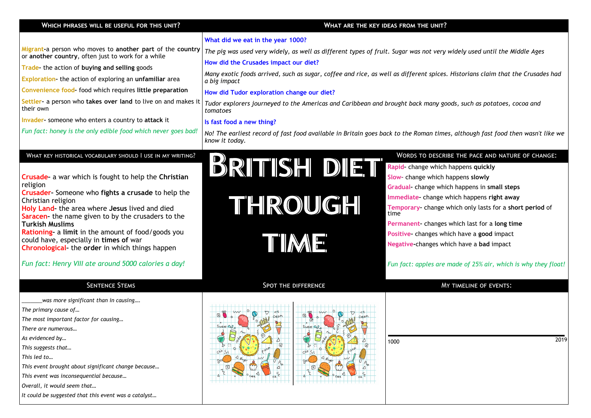| Which phrases will be useful for this unit?                                                          | WHAT ARE THE KEY IDEAS FROM THE UNIT?                                                                                                            |                                                                 |  |  |  |
|------------------------------------------------------------------------------------------------------|--------------------------------------------------------------------------------------------------------------------------------------------------|-----------------------------------------------------------------|--|--|--|
|                                                                                                      | What did we eat in the year 1000?                                                                                                                |                                                                 |  |  |  |
| Migrant-a person who moves to another part of the country                                            | The pig was used very widely, as well as different types of fruit. Sugar was not very widely used until the Middle Ages                          |                                                                 |  |  |  |
| or another country, often just to work for a while                                                   | How did the Crusades impact our diet?                                                                                                            |                                                                 |  |  |  |
| Trade-the action of buying and selling goods                                                         | Many exotic foods arrived, such as sugar, coffee and rice, as well as different spices. Historians claim that the Crusades had                   |                                                                 |  |  |  |
| Exploration-the action of exploring an unfamiliar area                                               | a big impact                                                                                                                                     |                                                                 |  |  |  |
| Convenience food- food which requires little preparation                                             | How did Tudor exploration change our diet?                                                                                                       |                                                                 |  |  |  |
| Settler- a person who takes over land to live on and makes it<br>their own                           | Tudor explorers journeyed to the Americas and Caribbean and brought back many goods, such as potatoes, cocoa and<br>tomatoes                     |                                                                 |  |  |  |
| Invader- someone who enters a country to attack it                                                   | Is fast food a new thing?                                                                                                                        |                                                                 |  |  |  |
| Fun fact: honey is the only edible food which never goes bad!                                        | No! The earliest record of fast food available in Britain goes back to the Roman times, although fast food then wasn't like we<br>know it today. |                                                                 |  |  |  |
| WHAT KEY HISTORICAL VOCABULARY SHOULD I USE IN MY WRITING?                                           |                                                                                                                                                  | WORDS TO DESCRIBE THE PACE AND NATURE OF CHANGE:                |  |  |  |
|                                                                                                      | BRITISH DIET                                                                                                                                     | Rapid- change which happens quickly                             |  |  |  |
| Crusade- a war which is fought to help the Christian<br>religion                                     |                                                                                                                                                  | Slow- change which happens slowly                               |  |  |  |
| Crusader- Someone who fights a crusade to help the                                                   |                                                                                                                                                  | Gradual- change which happens in small steps                    |  |  |  |
| Christian religion                                                                                   | THROUGH                                                                                                                                          | Immediate-change which happens right away                       |  |  |  |
| Holy Land- the area where Jesus lived and died<br>Saracen- the name given to by the crusaders to the |                                                                                                                                                  | Temporary-change which only lasts for a short period of<br>time |  |  |  |
| <b>Turkish Muslims</b>                                                                               |                                                                                                                                                  | Permanent changes which last for a long time                    |  |  |  |
| Rationing- a limit in the amount of food/goods you                                                   |                                                                                                                                                  | Positive- changes which have a good impact                      |  |  |  |
| could have, especially in times of war<br><b>Chronological-</b> the order in which things happen     | TIME                                                                                                                                             | Negative-changes which have a bad impact                        |  |  |  |
| Fun fact: Henry VIII ate around 5000 calories a day!                                                 |                                                                                                                                                  | Fun fact: apples are made of 25% air, which is why they float!  |  |  |  |
| <b>SENTENCE STEMS</b>                                                                                | <b>SPOT THE DIFFERENCE</b>                                                                                                                       | <b>MY TIMELINE OF EVENTS:</b>                                   |  |  |  |
| was more significant than in causing                                                                 |                                                                                                                                                  |                                                                 |  |  |  |
| The primary cause of                                                                                 |                                                                                                                                                  |                                                                 |  |  |  |
| The most important factor for causing<br>There are numerous                                          |                                                                                                                                                  |                                                                 |  |  |  |
| As evidenced by                                                                                      |                                                                                                                                                  | 2019                                                            |  |  |  |
| This suggests that                                                                                   |                                                                                                                                                  | 1000                                                            |  |  |  |
| This led to                                                                                          | Ch <sub>18</sub>                                                                                                                                 |                                                                 |  |  |  |
| This event brought about significant change because                                                  |                                                                                                                                                  |                                                                 |  |  |  |
| This event was inconsequential because                                                               |                                                                                                                                                  |                                                                 |  |  |  |
| Overall, it would seem that                                                                          |                                                                                                                                                  |                                                                 |  |  |  |
| It could be suggested that this event was a catalyst                                                 |                                                                                                                                                  |                                                                 |  |  |  |
|                                                                                                      |                                                                                                                                                  |                                                                 |  |  |  |